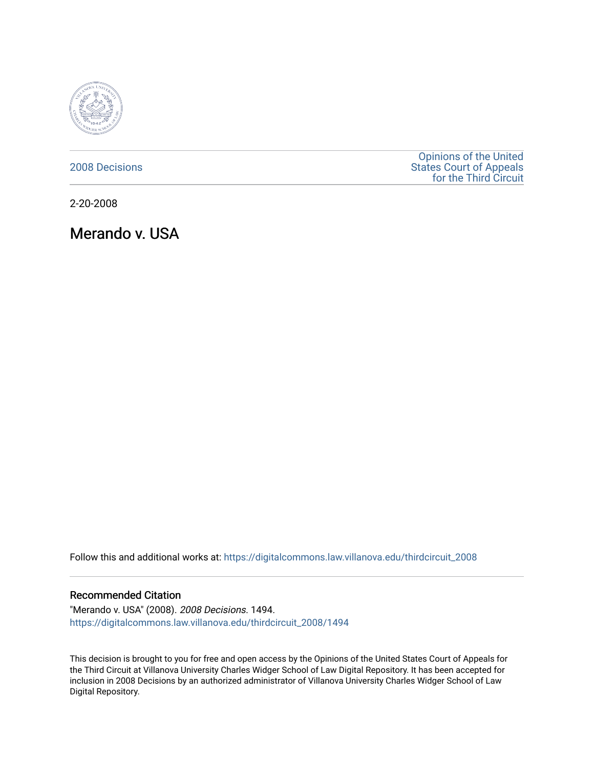

# [2008 Decisions](https://digitalcommons.law.villanova.edu/thirdcircuit_2008)

[Opinions of the United](https://digitalcommons.law.villanova.edu/thirdcircuit)  [States Court of Appeals](https://digitalcommons.law.villanova.edu/thirdcircuit)  [for the Third Circuit](https://digitalcommons.law.villanova.edu/thirdcircuit) 

2-20-2008

Merando v. USA

Follow this and additional works at: [https://digitalcommons.law.villanova.edu/thirdcircuit\\_2008](https://digitalcommons.law.villanova.edu/thirdcircuit_2008?utm_source=digitalcommons.law.villanova.edu%2Fthirdcircuit_2008%2F1494&utm_medium=PDF&utm_campaign=PDFCoverPages) 

## Recommended Citation

"Merando v. USA" (2008). 2008 Decisions. 1494. [https://digitalcommons.law.villanova.edu/thirdcircuit\\_2008/1494](https://digitalcommons.law.villanova.edu/thirdcircuit_2008/1494?utm_source=digitalcommons.law.villanova.edu%2Fthirdcircuit_2008%2F1494&utm_medium=PDF&utm_campaign=PDFCoverPages) 

This decision is brought to you for free and open access by the Opinions of the United States Court of Appeals for the Third Circuit at Villanova University Charles Widger School of Law Digital Repository. It has been accepted for inclusion in 2008 Decisions by an authorized administrator of Villanova University Charles Widger School of Law Digital Repository.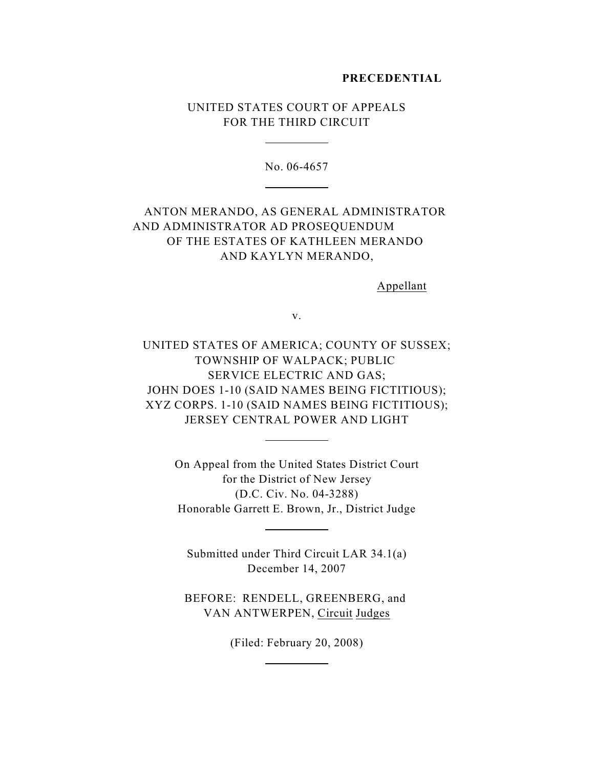## **PRECEDENTIAL**

# UNITED STATES COURT OF APPEALS FOR THE THIRD CIRCUIT

 $\overline{a}$ 

 $\overline{a}$ 

No. 06-4657

# ANTON MERANDO, AS GENERAL ADMINISTRATOR AND ADMINISTRATOR AD PROSEQUENDUM OF THE ESTATES OF KATHLEEN MERANDO AND KAYLYN MERANDO,

Appellant

v.

UNITED STATES OF AMERICA; COUNTY OF SUSSEX; TOWNSHIP OF WALPACK; PUBLIC SERVICE ELECTRIC AND GAS; JOHN DOES 1-10 (SAID NAMES BEING FICTITIOUS); XYZ CORPS. 1-10 (SAID NAMES BEING FICTITIOUS); JERSEY CENTRAL POWER AND LIGHT

> On Appeal from the United States District Court for the District of New Jersey (D.C. Civ. No. 04-3288) Honorable Garrett E. Brown, Jr., District Judge

 $\overline{a}$ 

 $\overline{a}$ 

 $\overline{a}$ 

Submitted under Third Circuit LAR 34.1(a) December 14, 2007

BEFORE: RENDELL, GREENBERG, and VAN ANTWERPEN, Circuit Judges

(Filed: February 20, 2008)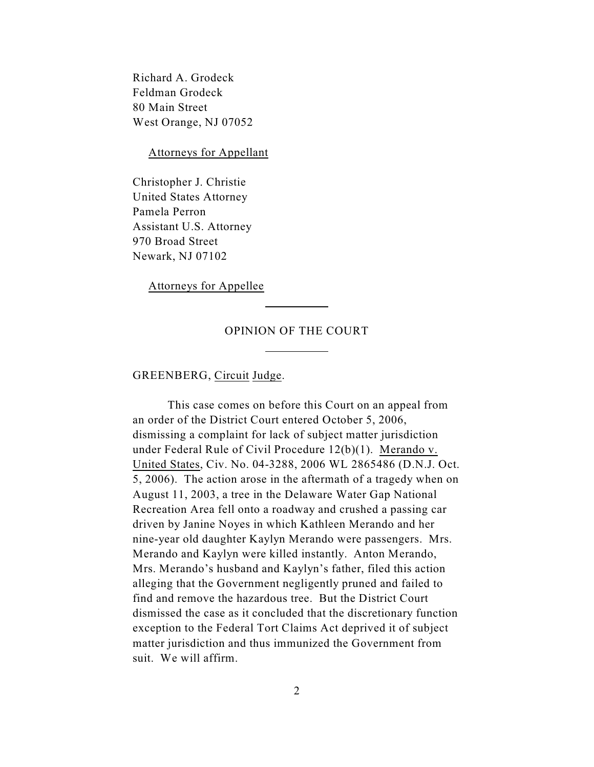Richard A. Grodeck Feldman Grodeck 80 Main Street West Orange, NJ 07052

Attorneys for Appellant

Christopher J. Christie United States Attorney Pamela Perron Assistant U.S. Attorney 970 Broad Street Newark, NJ 07102

Attorneys for Appellee

## OPINION OF THE COURT

 $\overline{a}$ 

 $\overline{a}$ 

## GREENBERG, Circuit Judge.

This case comes on before this Court on an appeal from an order of the District Court entered October 5, 2006, dismissing a complaint for lack of subject matter jurisdiction under Federal Rule of Civil Procedure 12(b)(1). Merando v. United States, Civ. No. 04-3288, 2006 WL 2865486 (D.N.J. Oct. 5, 2006). The action arose in the aftermath of a tragedy when on August 11, 2003, a tree in the Delaware Water Gap National Recreation Area fell onto a roadway and crushed a passing car driven by Janine Noyes in which Kathleen Merando and her nine-year old daughter Kaylyn Merando were passengers. Mrs. Merando and Kaylyn were killed instantly. Anton Merando, Mrs. Merando's husband and Kaylyn's father, filed this action alleging that the Government negligently pruned and failed to find and remove the hazardous tree. But the District Court dismissed the case as it concluded that the discretionary function exception to the Federal Tort Claims Act deprived it of subject matter jurisdiction and thus immunized the Government from suit. We will affirm.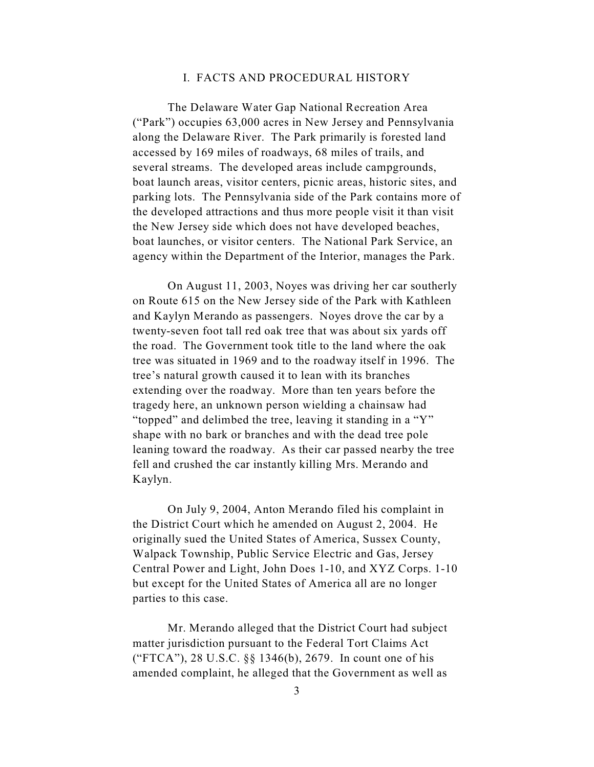# I. FACTS AND PROCEDURAL HISTORY

The Delaware Water Gap National Recreation Area ("Park") occupies 63,000 acres in New Jersey and Pennsylvania along the Delaware River. The Park primarily is forested land accessed by 169 miles of roadways, 68 miles of trails, and several streams. The developed areas include campgrounds, boat launch areas, visitor centers, picnic areas, historic sites, and parking lots. The Pennsylvania side of the Park contains more of the developed attractions and thus more people visit it than visit the New Jersey side which does not have developed beaches, boat launches, or visitor centers. The National Park Service, an agency within the Department of the Interior, manages the Park.

On August 11, 2003, Noyes was driving her car southerly on Route 615 on the New Jersey side of the Park with Kathleen and Kaylyn Merando as passengers. Noyes drove the car by a twenty-seven foot tall red oak tree that was about six yards off the road. The Government took title to the land where the oak tree was situated in 1969 and to the roadway itself in 1996. The tree's natural growth caused it to lean with its branches extending over the roadway. More than ten years before the tragedy here, an unknown person wielding a chainsaw had "topped" and delimbed the tree, leaving it standing in a "Y" shape with no bark or branches and with the dead tree pole leaning toward the roadway. As their car passed nearby the tree fell and crushed the car instantly killing Mrs. Merando and Kaylyn.

On July 9, 2004, Anton Merando filed his complaint in the District Court which he amended on August 2, 2004. He originally sued the United States of America, Sussex County, Walpack Township, Public Service Electric and Gas, Jersey Central Power and Light, John Does 1-10, and XYZ Corps. 1-10 but except for the United States of America all are no longer parties to this case.

Mr. Merando alleged that the District Court had subject matter jurisdiction pursuant to the Federal Tort Claims Act ("FTCA"), 28 U.S.C. §§ 1346(b), 2679. In count one of his amended complaint, he alleged that the Government as well as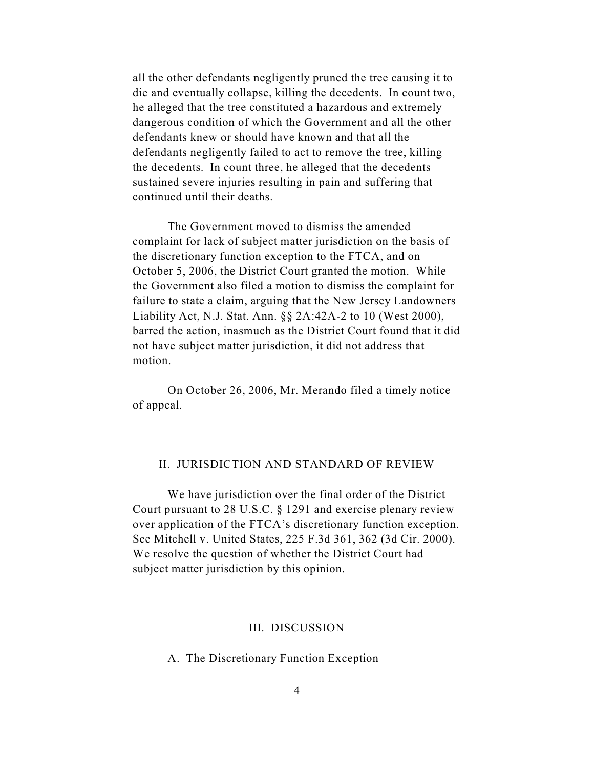all the other defendants negligently pruned the tree causing it to die and eventually collapse, killing the decedents. In count two, he alleged that the tree constituted a hazardous and extremely dangerous condition of which the Government and all the other defendants knew or should have known and that all the defendants negligently failed to act to remove the tree, killing the decedents. In count three, he alleged that the decedents sustained severe injuries resulting in pain and suffering that continued until their deaths.

The Government moved to dismiss the amended complaint for lack of subject matter jurisdiction on the basis of the discretionary function exception to the FTCA, and on October 5, 2006, the District Court granted the motion. While the Government also filed a motion to dismiss the complaint for failure to state a claim, arguing that the New Jersey Landowners Liability Act, N.J. Stat. Ann. §§ 2A:42A-2 to 10 (West 2000), barred the action, inasmuch as the District Court found that it did not have subject matter jurisdiction, it did not address that motion.

On October 26, 2006, Mr. Merando filed a timely notice of appeal.

# II. JURISDICTION AND STANDARD OF REVIEW

We have jurisdiction over the final order of the District Court pursuant to 28 U.S.C. § 1291 and exercise plenary review over application of the FTCA's discretionary function exception. See Mitchell v. United States, 225 F.3d 361, 362 (3d Cir. 2000). We resolve the question of whether the District Court had subject matter jurisdiction by this opinion.

# III. DISCUSSION

A. The Discretionary Function Exception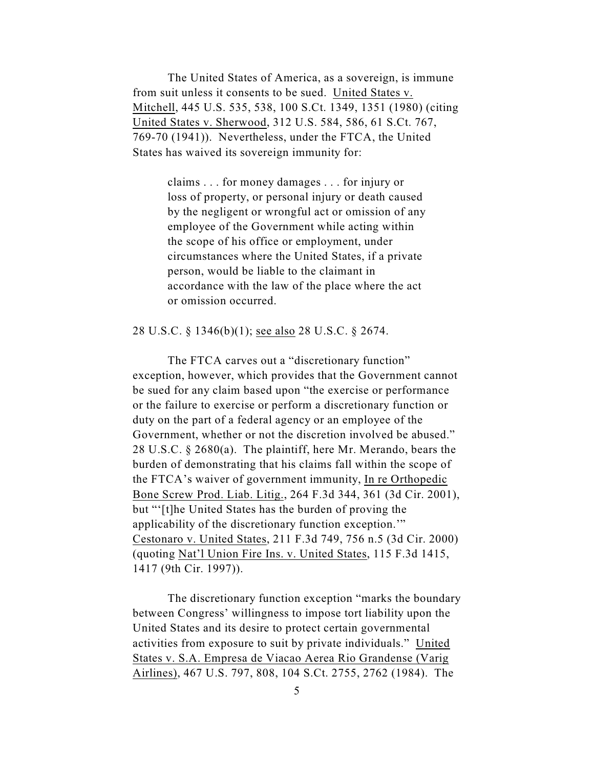The United States of America, as a sovereign, is immune from suit unless it consents to be sued. United States v. Mitchell, 445 U.S. 535, 538, 100 S.Ct. 1349, 1351 (1980) (citing United States v. Sherwood, 312 U.S. 584, 586, 61 S.Ct. 767, 769-70 (1941)). Nevertheless, under the FTCA, the United States has waived its sovereign immunity for:

> claims . . . for money damages . . . for injury or loss of property, or personal injury or death caused by the negligent or wrongful act or omission of any employee of the Government while acting within the scope of his office or employment, under circumstances where the United States, if a private person, would be liable to the claimant in accordance with the law of the place where the act or omission occurred.

## 28 U.S.C. § 1346(b)(1); see also 28 U.S.C. § 2674.

The FTCA carves out a "discretionary function" exception, however, which provides that the Government cannot be sued for any claim based upon "the exercise or performance or the failure to exercise or perform a discretionary function or duty on the part of a federal agency or an employee of the Government, whether or not the discretion involved be abused." 28 U.S.C. § 2680(a). The plaintiff, here Mr. Merando, bears the burden of demonstrating that his claims fall within the scope of the FTCA's waiver of government immunity, In re Orthopedic Bone Screw Prod. Liab. Litig., 264 F.3d 344, 361 (3d Cir. 2001), but "'[t]he United States has the burden of proving the applicability of the discretionary function exception.'" Cestonaro v. United States, 211 F.3d 749, 756 n.5 (3d Cir. 2000) (quoting Nat'l Union Fire Ins. v. United States, 115 F.3d 1415, 1417 (9th Cir. 1997)).

The discretionary function exception "marks the boundary between Congress' willingness to impose tort liability upon the United States and its desire to protect certain governmental activities from exposure to suit by private individuals." United States v. S.A. Empresa de Viacao Aerea Rio Grandense (Varig Airlines), 467 U.S. 797, 808, 104 S.Ct. 2755, 2762 (1984). The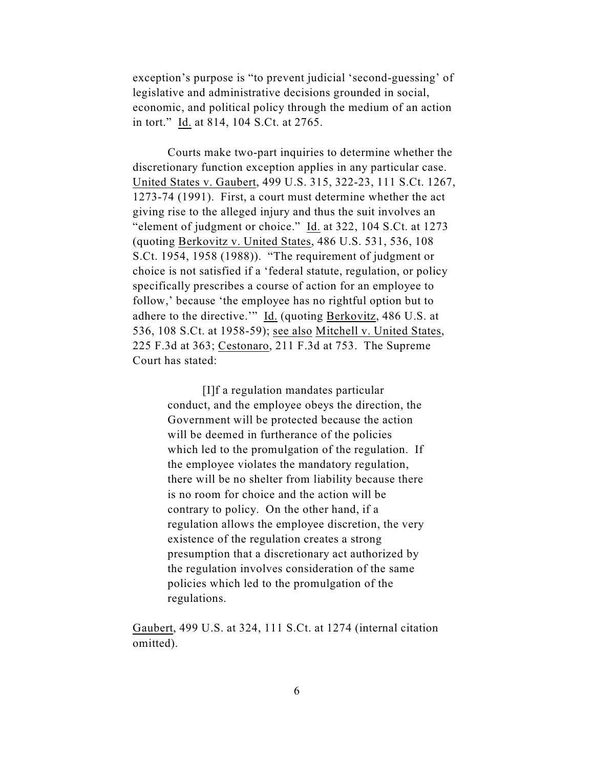exception's purpose is "to prevent judicial 'second-guessing' of legislative and administrative decisions grounded in social, economic, and political policy through the medium of an action in tort." Id. at 814, 104 S.Ct. at 2765.

Courts make two-part inquiries to determine whether the discretionary function exception applies in any particular case. United States v. Gaubert, 499 U.S. 315, 322-23, 111 S.Ct. 1267, 1273-74 (1991). First, a court must determine whether the act giving rise to the alleged injury and thus the suit involves an "element of judgment or choice." Id. at 322, 104 S.Ct. at 1273 (quoting Berkovitz v. United States, 486 U.S. 531, 536, 108 S.Ct. 1954, 1958 (1988)). "The requirement of judgment or choice is not satisfied if a 'federal statute, regulation, or policy specifically prescribes a course of action for an employee to follow,' because 'the employee has no rightful option but to adhere to the directive." Id. (quoting Berkovitz, 486 U.S. at 536, 108 S.Ct. at 1958-59); see also Mitchell v. United States, 225 F.3d at 363; Cestonaro, 211 F.3d at 753. The Supreme Court has stated:

> [I]f a regulation mandates particular conduct, and the employee obeys the direction, the Government will be protected because the action will be deemed in furtherance of the policies which led to the promulgation of the regulation. If the employee violates the mandatory regulation, there will be no shelter from liability because there is no room for choice and the action will be contrary to policy. On the other hand, if a regulation allows the employee discretion, the very existence of the regulation creates a strong presumption that a discretionary act authorized by the regulation involves consideration of the same policies which led to the promulgation of the regulations.

Gaubert, 499 U.S. at 324, 111 S.Ct. at 1274 (internal citation omitted).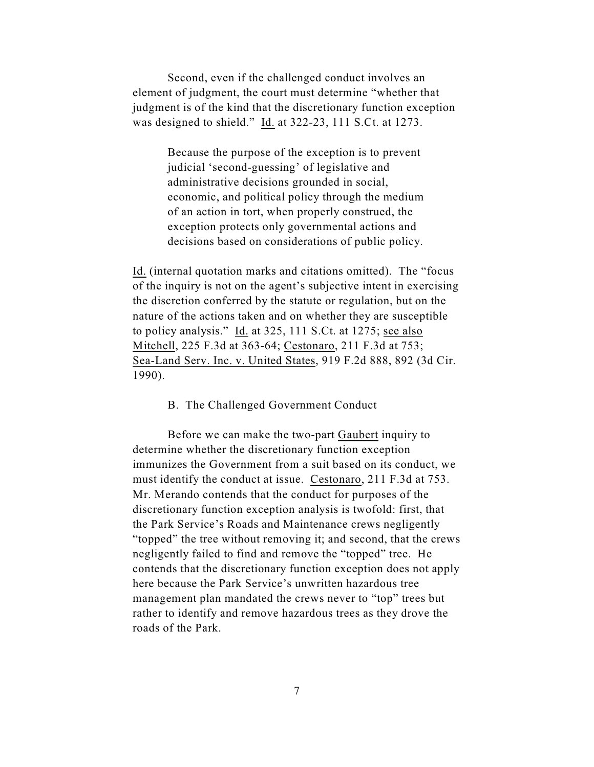Second, even if the challenged conduct involves an element of judgment, the court must determine "whether that judgment is of the kind that the discretionary function exception was designed to shield." Id. at 322-23, 111 S.Ct. at 1273.

> Because the purpose of the exception is to prevent judicial 'second-guessing' of legislative and administrative decisions grounded in social, economic, and political policy through the medium of an action in tort, when properly construed, the exception protects only governmental actions and decisions based on considerations of public policy.

Id. (internal quotation marks and citations omitted). The "focus of the inquiry is not on the agent's subjective intent in exercising the discretion conferred by the statute or regulation, but on the nature of the actions taken and on whether they are susceptible to policy analysis." Id. at 325, 111 S.Ct. at 1275; see also Mitchell, 225 F.3d at 363-64; Cestonaro, 211 F.3d at 753; Sea-Land Serv. Inc. v. United States, 919 F.2d 888, 892 (3d Cir. 1990).

## B. The Challenged Government Conduct

Before we can make the two-part Gaubert inquiry to determine whether the discretionary function exception immunizes the Government from a suit based on its conduct, we must identify the conduct at issue. Cestonaro, 211 F.3d at 753. Mr. Merando contends that the conduct for purposes of the discretionary function exception analysis is twofold: first, that the Park Service's Roads and Maintenance crews negligently "topped" the tree without removing it; and second, that the crews negligently failed to find and remove the "topped" tree. He contends that the discretionary function exception does not apply here because the Park Service's unwritten hazardous tree management plan mandated the crews never to "top" trees but rather to identify and remove hazardous trees as they drove the roads of the Park.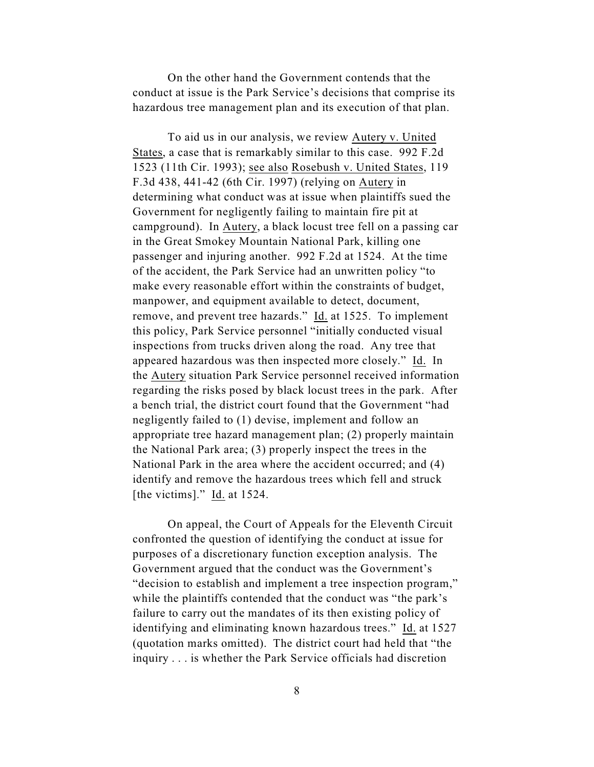On the other hand the Government contends that the conduct at issue is the Park Service's decisions that comprise its hazardous tree management plan and its execution of that plan.

To aid us in our analysis, we review Autery v. United States, a case that is remarkably similar to this case. 992 F.2d 1523 (11th Cir. 1993); see also Rosebush v. United States, 119 F.3d 438, 441-42 (6th Cir. 1997) (relying on Autery in determining what conduct was at issue when plaintiffs sued the Government for negligently failing to maintain fire pit at campground). In Autery, a black locust tree fell on a passing car in the Great Smokey Mountain National Park, killing one passenger and injuring another. 992 F.2d at 1524. At the time of the accident, the Park Service had an unwritten policy "to make every reasonable effort within the constraints of budget, manpower, and equipment available to detect, document, remove, and prevent tree hazards." Id. at 1525. To implement this policy, Park Service personnel "initially conducted visual inspections from trucks driven along the road. Any tree that appeared hazardous was then inspected more closely." Id. In the Autery situation Park Service personnel received information regarding the risks posed by black locust trees in the park. After a bench trial, the district court found that the Government "had negligently failed to (1) devise, implement and follow an appropriate tree hazard management plan; (2) properly maintain the National Park area; (3) properly inspect the trees in the National Park in the area where the accident occurred; and (4) identify and remove the hazardous trees which fell and struck [the victims]." Id. at 1524.

On appeal, the Court of Appeals for the Eleventh Circuit confronted the question of identifying the conduct at issue for purposes of a discretionary function exception analysis. The Government argued that the conduct was the Government's "decision to establish and implement a tree inspection program," while the plaintiffs contended that the conduct was "the park's failure to carry out the mandates of its then existing policy of identifying and eliminating known hazardous trees." Id. at 1527 (quotation marks omitted). The district court had held that "the inquiry . . . is whether the Park Service officials had discretion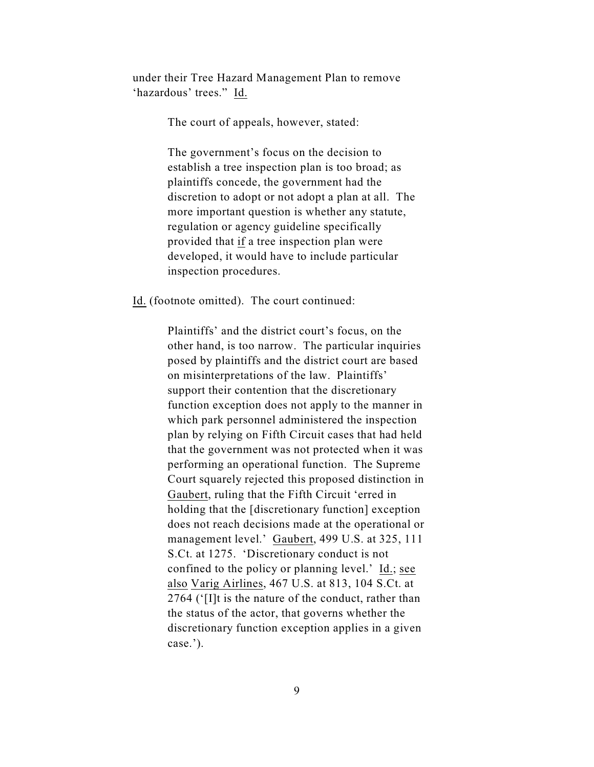under their Tree Hazard Management Plan to remove 'hazardous' trees." Id.

The court of appeals, however, stated:

The government's focus on the decision to establish a tree inspection plan is too broad; as plaintiffs concede, the government had the discretion to adopt or not adopt a plan at all. The more important question is whether any statute, regulation or agency guideline specifically provided that if a tree inspection plan were developed, it would have to include particular inspection procedures.

Id. (footnote omitted). The court continued:

Plaintiffs' and the district court's focus, on the other hand, is too narrow. The particular inquiries posed by plaintiffs and the district court are based on misinterpretations of the law. Plaintiffs' support their contention that the discretionary function exception does not apply to the manner in which park personnel administered the inspection plan by relying on Fifth Circuit cases that had held that the government was not protected when it was performing an operational function. The Supreme Court squarely rejected this proposed distinction in Gaubert, ruling that the Fifth Circuit 'erred in holding that the [discretionary function] exception does not reach decisions made at the operational or management level.' Gaubert, 499 U.S. at 325, 111 S.Ct. at 1275. 'Discretionary conduct is not confined to the policy or planning level.' Id.; see also Varig Airlines, 467 U.S. at 813, 104 S.Ct. at 2764 ('[I]t is the nature of the conduct, rather than the status of the actor, that governs whether the discretionary function exception applies in a given case.').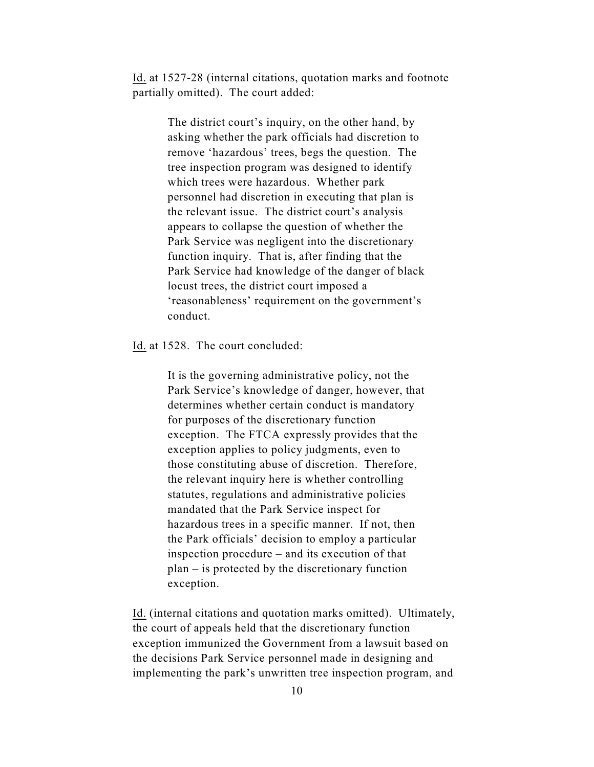Id. at 1527-28 (internal citations, quotation marks and footnote partially omitted). The court added:

> The district court's inquiry, on the other hand, by asking whether the park officials had discretion to remove 'hazardous' trees, begs the question. The tree inspection program was designed to identify which trees were hazardous. Whether park personnel had discretion in executing that plan is the relevant issue. The district court's analysis appears to collapse the question of whether the Park Service was negligent into the discretionary function inquiry. That is, after finding that the Park Service had knowledge of the danger of black locust trees, the district court imposed a 'reasonableness' requirement on the government's conduct.

Id. at 1528. The court concluded:

It is the governing administrative policy, not the Park Service's knowledge of danger, however, that determines whether certain conduct is mandatory for purposes of the discretionary function exception. The FTCA expressly provides that the exception applies to policy judgments, even to those constituting abuse of discretion. Therefore, the relevant inquiry here is whether controlling statutes, regulations and administrative policies mandated that the Park Service inspect for hazardous trees in a specific manner. If not, then the Park officials' decision to employ a particular inspection procedure – and its execution of that plan – is protected by the discretionary function exception.

Id. (internal citations and quotation marks omitted). Ultimately, the court of appeals held that the discretionary function exception immunized the Government from a lawsuit based on the decisions Park Service personnel made in designing and implementing the park's unwritten tree inspection program, and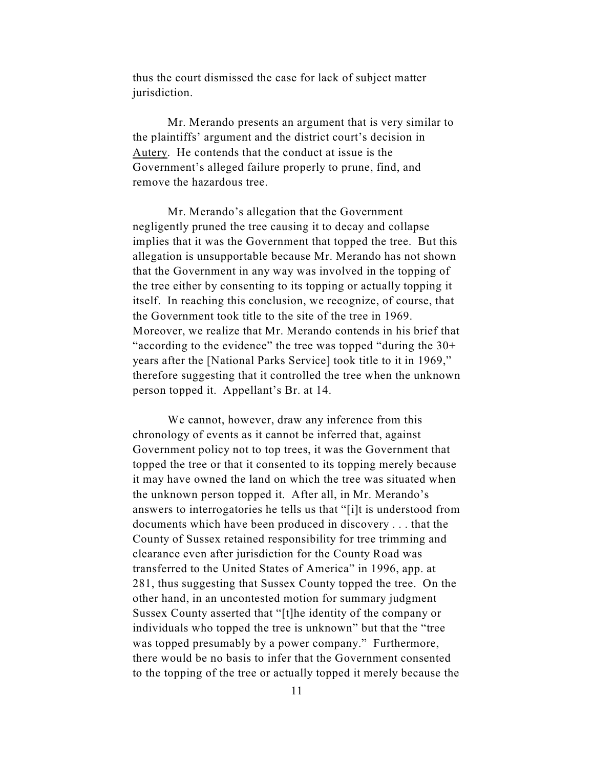thus the court dismissed the case for lack of subject matter jurisdiction.

Mr. Merando presents an argument that is very similar to the plaintiffs' argument and the district court's decision in Autery. He contends that the conduct at issue is the Government's alleged failure properly to prune, find, and remove the hazardous tree.

Mr. Merando's allegation that the Government negligently pruned the tree causing it to decay and collapse implies that it was the Government that topped the tree. But this allegation is unsupportable because Mr. Merando has not shown that the Government in any way was involved in the topping of the tree either by consenting to its topping or actually topping it itself. In reaching this conclusion, we recognize, of course, that the Government took title to the site of the tree in 1969. Moreover, we realize that Mr. Merando contends in his brief that "according to the evidence" the tree was topped "during the 30+ years after the [National Parks Service] took title to it in 1969," therefore suggesting that it controlled the tree when the unknown person topped it. Appellant's Br. at 14.

We cannot, however, draw any inference from this chronology of events as it cannot be inferred that, against Government policy not to top trees, it was the Government that topped the tree or that it consented to its topping merely because it may have owned the land on which the tree was situated when the unknown person topped it. After all, in Mr. Merando's answers to interrogatories he tells us that "[i]t is understood from documents which have been produced in discovery . . . that the County of Sussex retained responsibility for tree trimming and clearance even after jurisdiction for the County Road was transferred to the United States of America" in 1996, app. at 281, thus suggesting that Sussex County topped the tree. On the other hand, in an uncontested motion for summary judgment Sussex County asserted that "[t]he identity of the company or individuals who topped the tree is unknown" but that the "tree was topped presumably by a power company." Furthermore, there would be no basis to infer that the Government consented to the topping of the tree or actually topped it merely because the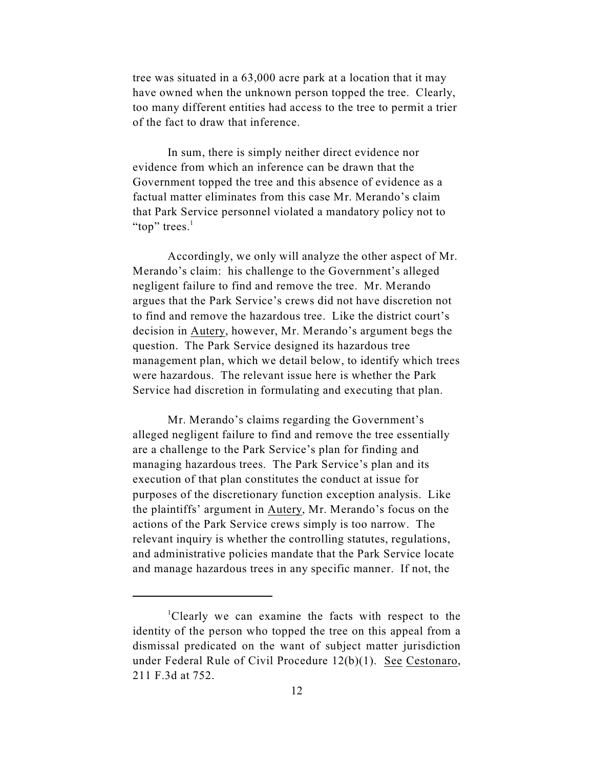tree was situated in a 63,000 acre park at a location that it may have owned when the unknown person topped the tree. Clearly, too many different entities had access to the tree to permit a trier of the fact to draw that inference.

In sum, there is simply neither direct evidence nor evidence from which an inference can be drawn that the Government topped the tree and this absence of evidence as a factual matter eliminates from this case Mr. Merando's claim that Park Service personnel violated a mandatory policy not to "top" trees. $\mathbf{r}$ 

Accordingly, we only will analyze the other aspect of Mr. Merando's claim: his challenge to the Government's alleged negligent failure to find and remove the tree. Mr. Merando argues that the Park Service's crews did not have discretion not to find and remove the hazardous tree. Like the district court's decision in Autery, however, Mr. Merando's argument begs the question. The Park Service designed its hazardous tree management plan, which we detail below, to identify which trees were hazardous. The relevant issue here is whether the Park Service had discretion in formulating and executing that plan.

Mr. Merando's claims regarding the Government's alleged negligent failure to find and remove the tree essentially are a challenge to the Park Service's plan for finding and managing hazardous trees. The Park Service's plan and its execution of that plan constitutes the conduct at issue for purposes of the discretionary function exception analysis. Like the plaintiffs' argument in Autery, Mr. Merando's focus on the actions of the Park Service crews simply is too narrow. The relevant inquiry is whether the controlling statutes, regulations, and administrative policies mandate that the Park Service locate and manage hazardous trees in any specific manner. If not, the

 ${}^{1}$ Clearly we can examine the facts with respect to the identity of the person who topped the tree on this appeal from a dismissal predicated on the want of subject matter jurisdiction under Federal Rule of Civil Procedure 12(b)(1). See Cestonaro, 211 F.3d at 752.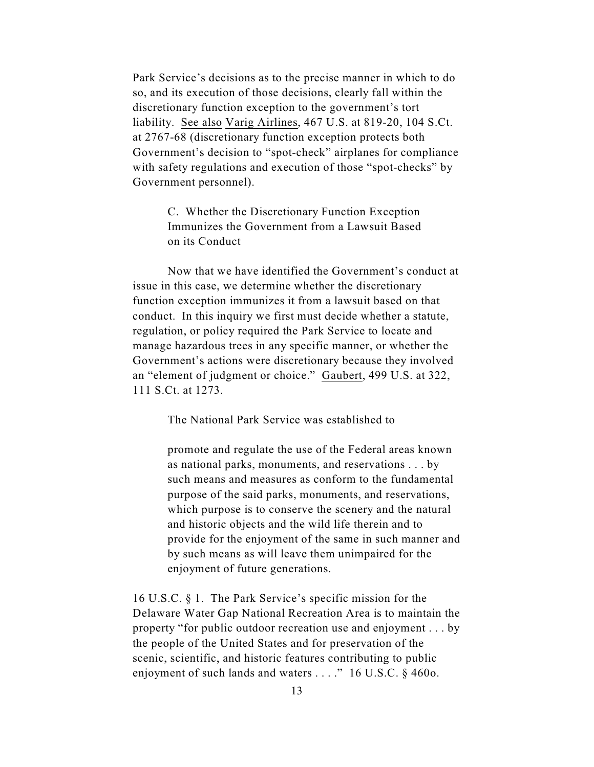Park Service's decisions as to the precise manner in which to do so, and its execution of those decisions, clearly fall within the discretionary function exception to the government's tort liability. See also Varig Airlines, 467 U.S. at 819-20, 104 S.Ct. at 2767-68 (discretionary function exception protects both Government's decision to "spot-check" airplanes for compliance with safety regulations and execution of those "spot-checks" by Government personnel).

> C. Whether the Discretionary Function Exception Immunizes the Government from a Lawsuit Based on its Conduct

Now that we have identified the Government's conduct at issue in this case, we determine whether the discretionary function exception immunizes it from a lawsuit based on that conduct. In this inquiry we first must decide whether a statute, regulation, or policy required the Park Service to locate and manage hazardous trees in any specific manner, or whether the Government's actions were discretionary because they involved an "element of judgment or choice." Gaubert, 499 U.S. at 322, 111 S.Ct. at 1273.

The National Park Service was established to

promote and regulate the use of the Federal areas known as national parks, monuments, and reservations . . . by such means and measures as conform to the fundamental purpose of the said parks, monuments, and reservations, which purpose is to conserve the scenery and the natural and historic objects and the wild life therein and to provide for the enjoyment of the same in such manner and by such means as will leave them unimpaired for the enjoyment of future generations.

16 U.S.C. § 1. The Park Service's specific mission for the Delaware Water Gap National Recreation Area is to maintain the property "for public outdoor recreation use and enjoyment . . . by the people of the United States and for preservation of the scenic, scientific, and historic features contributing to public enjoyment of such lands and waters . . . ." 16 U.S.C. § 460o.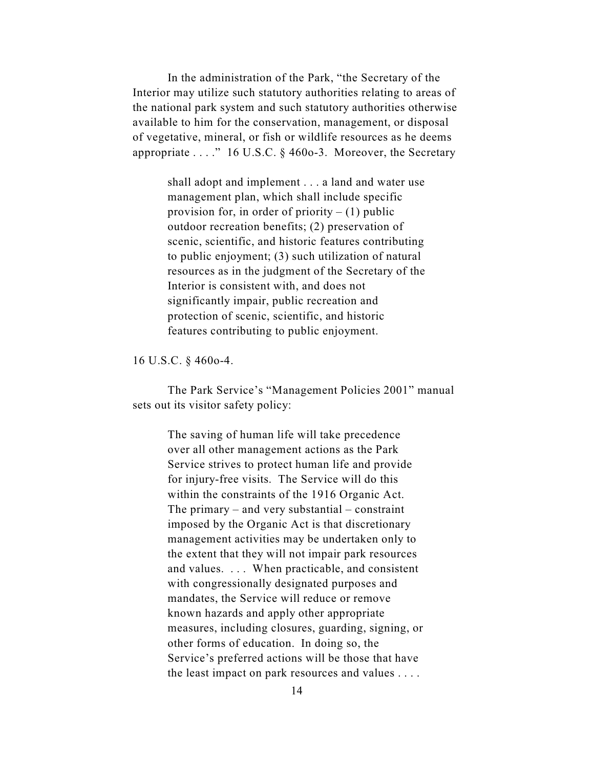In the administration of the Park, "the Secretary of the Interior may utilize such statutory authorities relating to areas of the national park system and such statutory authorities otherwise available to him for the conservation, management, or disposal of vegetative, mineral, or fish or wildlife resources as he deems appropriate . . . ." 16 U.S.C. § 460o-3. Moreover, the Secretary

> shall adopt and implement . . . a land and water use management plan, which shall include specific provision for, in order of priority  $- (1)$  public outdoor recreation benefits; (2) preservation of scenic, scientific, and historic features contributing to public enjoyment; (3) such utilization of natural resources as in the judgment of the Secretary of the Interior is consistent with, and does not significantly impair, public recreation and protection of scenic, scientific, and historic features contributing to public enjoyment.

16 U.S.C. § 460o-4.

The Park Service's "Management Policies 2001" manual sets out its visitor safety policy:

> The saving of human life will take precedence over all other management actions as the Park Service strives to protect human life and provide for injury-free visits. The Service will do this within the constraints of the 1916 Organic Act. The primary – and very substantial – constraint imposed by the Organic Act is that discretionary management activities may be undertaken only to the extent that they will not impair park resources and values. . . . When practicable, and consistent with congressionally designated purposes and mandates, the Service will reduce or remove known hazards and apply other appropriate measures, including closures, guarding, signing, or other forms of education. In doing so, the Service's preferred actions will be those that have the least impact on park resources and values . . . .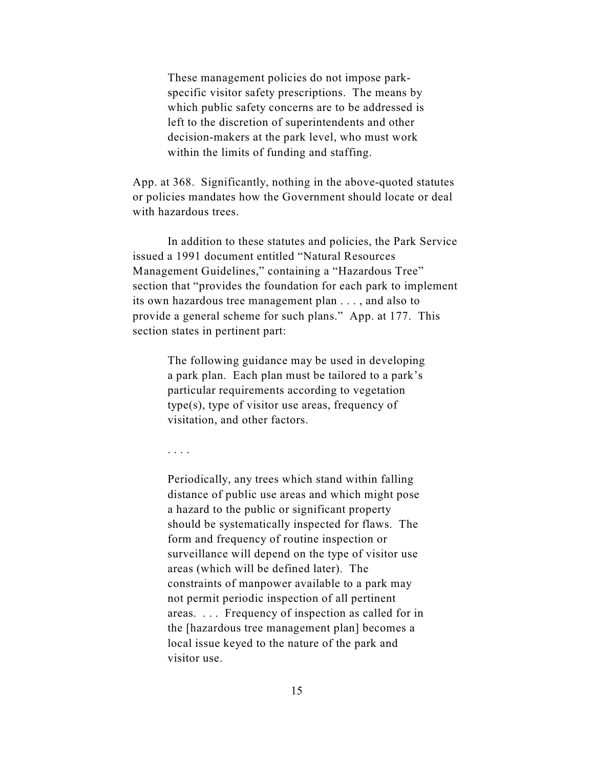These management policies do not impose parkspecific visitor safety prescriptions. The means by which public safety concerns are to be addressed is left to the discretion of superintendents and other decision-makers at the park level, who must work within the limits of funding and staffing.

App. at 368. Significantly, nothing in the above-quoted statutes or policies mandates how the Government should locate or deal with hazardous trees.

In addition to these statutes and policies, the Park Service issued a 1991 document entitled "Natural Resources Management Guidelines," containing a "Hazardous Tree" section that "provides the foundation for each park to implement its own hazardous tree management plan . . . , and also to provide a general scheme for such plans." App. at 177. This section states in pertinent part:

> The following guidance may be used in developing a park plan. Each plan must be tailored to a park's particular requirements according to vegetation type(s), type of visitor use areas, frequency of visitation, and other factors.

. . . .

Periodically, any trees which stand within falling distance of public use areas and which might pose a hazard to the public or significant property should be systematically inspected for flaws. The form and frequency of routine inspection or surveillance will depend on the type of visitor use areas (which will be defined later). The constraints of manpower available to a park may not permit periodic inspection of all pertinent areas. . . . Frequency of inspection as called for in the [hazardous tree management plan] becomes a local issue keyed to the nature of the park and visitor use.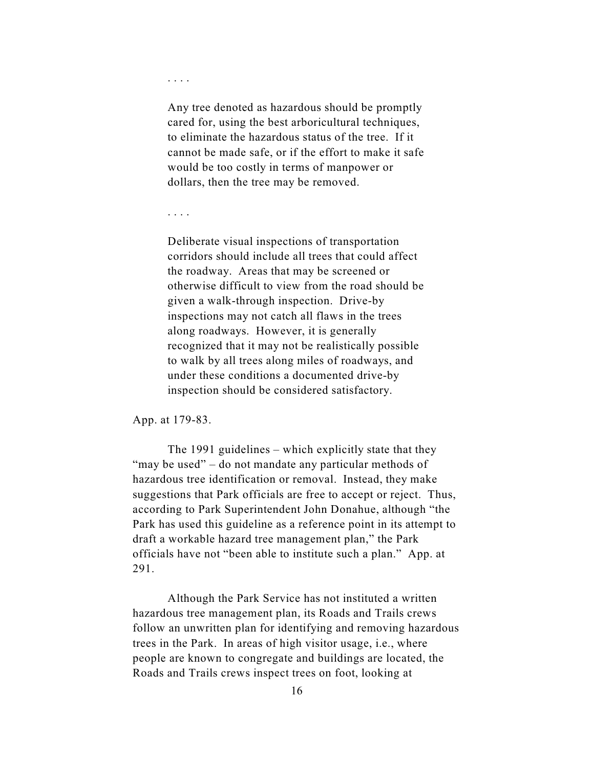. . . .

Any tree denoted as hazardous should be promptly cared for, using the best arboricultural techniques, to eliminate the hazardous status of the tree. If it cannot be made safe, or if the effort to make it safe would be too costly in terms of manpower or dollars, then the tree may be removed.

. . . .

Deliberate visual inspections of transportation corridors should include all trees that could affect the roadway. Areas that may be screened or otherwise difficult to view from the road should be given a walk-through inspection. Drive-by inspections may not catch all flaws in the trees along roadways. However, it is generally recognized that it may not be realistically possible to walk by all trees along miles of roadways, and under these conditions a documented drive-by inspection should be considered satisfactory.

App. at 179-83.

The 1991 guidelines – which explicitly state that they "may be used" – do not mandate any particular methods of hazardous tree identification or removal. Instead, they make suggestions that Park officials are free to accept or reject. Thus, according to Park Superintendent John Donahue, although "the Park has used this guideline as a reference point in its attempt to draft a workable hazard tree management plan," the Park officials have not "been able to institute such a plan." App. at 291.

Although the Park Service has not instituted a written hazardous tree management plan, its Roads and Trails crews follow an unwritten plan for identifying and removing hazardous trees in the Park. In areas of high visitor usage, i.e., where people are known to congregate and buildings are located, the Roads and Trails crews inspect trees on foot, looking at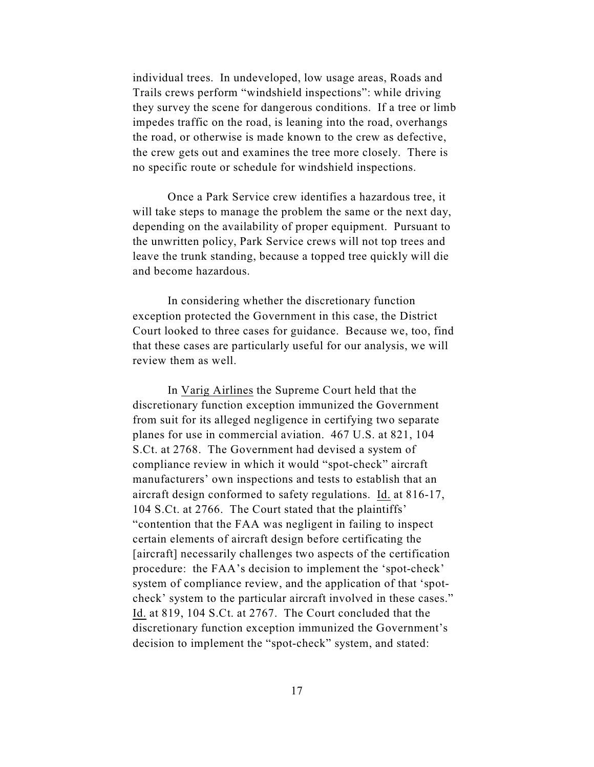individual trees. In undeveloped, low usage areas, Roads and Trails crews perform "windshield inspections": while driving they survey the scene for dangerous conditions. If a tree or limb impedes traffic on the road, is leaning into the road, overhangs the road, or otherwise is made known to the crew as defective, the crew gets out and examines the tree more closely. There is no specific route or schedule for windshield inspections.

Once a Park Service crew identifies a hazardous tree, it will take steps to manage the problem the same or the next day, depending on the availability of proper equipment. Pursuant to the unwritten policy, Park Service crews will not top trees and leave the trunk standing, because a topped tree quickly will die and become hazardous.

In considering whether the discretionary function exception protected the Government in this case, the District Court looked to three cases for guidance. Because we, too, find that these cases are particularly useful for our analysis, we will review them as well.

In Varig Airlines the Supreme Court held that the discretionary function exception immunized the Government from suit for its alleged negligence in certifying two separate planes for use in commercial aviation. 467 U.S. at 821, 104 S.Ct. at 2768. The Government had devised a system of compliance review in which it would "spot-check" aircraft manufacturers' own inspections and tests to establish that an aircraft design conformed to safety regulations. Id. at 816-17, 104 S.Ct. at 2766. The Court stated that the plaintiffs' "contention that the FAA was negligent in failing to inspect certain elements of aircraft design before certificating the [aircraft] necessarily challenges two aspects of the certification procedure: the FAA's decision to implement the 'spot-check' system of compliance review, and the application of that 'spotcheck' system to the particular aircraft involved in these cases." Id. at 819, 104 S.Ct. at 2767. The Court concluded that the discretionary function exception immunized the Government's decision to implement the "spot-check" system, and stated: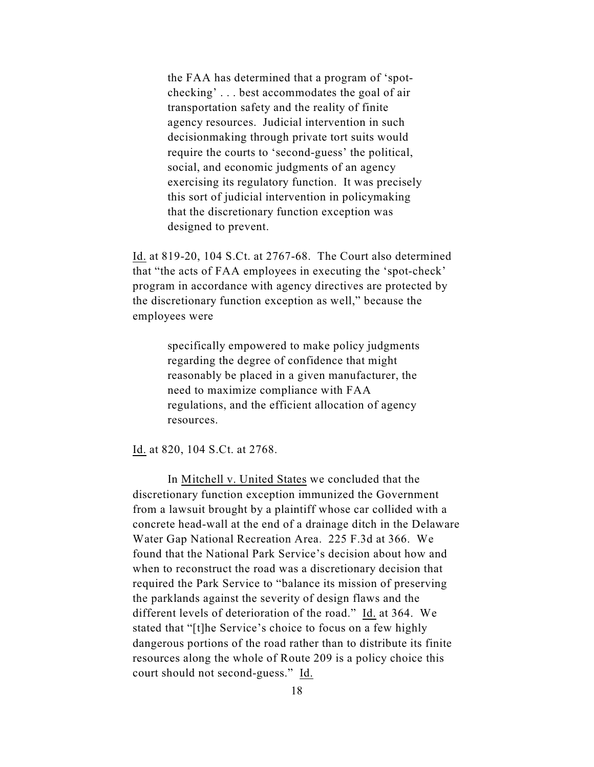the FAA has determined that a program of 'spotchecking' . . . best accommodates the goal of air transportation safety and the reality of finite agency resources. Judicial intervention in such decisionmaking through private tort suits would require the courts to 'second-guess' the political, social, and economic judgments of an agency exercising its regulatory function. It was precisely this sort of judicial intervention in policymaking that the discretionary function exception was designed to prevent.

Id. at 819-20, 104 S.Ct. at 2767-68. The Court also determined that "the acts of FAA employees in executing the 'spot-check' program in accordance with agency directives are protected by the discretionary function exception as well," because the employees were

> specifically empowered to make policy judgments regarding the degree of confidence that might reasonably be placed in a given manufacturer, the need to maximize compliance with FAA regulations, and the efficient allocation of agency resources.

Id. at 820, 104 S.Ct. at 2768.

In Mitchell v. United States we concluded that the discretionary function exception immunized the Government from a lawsuit brought by a plaintiff whose car collided with a concrete head-wall at the end of a drainage ditch in the Delaware Water Gap National Recreation Area. 225 F.3d at 366. We found that the National Park Service's decision about how and when to reconstruct the road was a discretionary decision that required the Park Service to "balance its mission of preserving the parklands against the severity of design flaws and the different levels of deterioration of the road." Id. at 364. We stated that "[t]he Service's choice to focus on a few highly dangerous portions of the road rather than to distribute its finite resources along the whole of Route 209 is a policy choice this court should not second-guess." Id.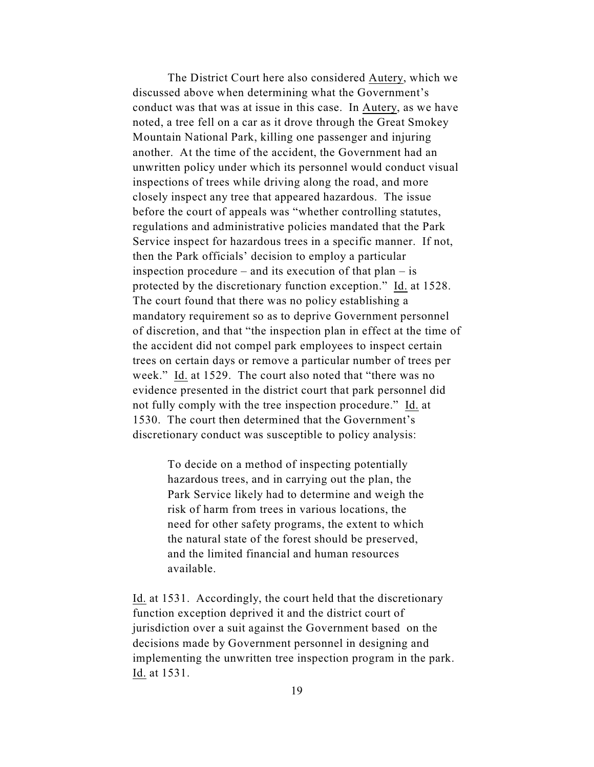The District Court here also considered Autery, which we discussed above when determining what the Government's conduct was that was at issue in this case. In Autery, as we have noted, a tree fell on a car as it drove through the Great Smokey Mountain National Park, killing one passenger and injuring another. At the time of the accident, the Government had an unwritten policy under which its personnel would conduct visual inspections of trees while driving along the road, and more closely inspect any tree that appeared hazardous. The issue before the court of appeals was "whether controlling statutes, regulations and administrative policies mandated that the Park Service inspect for hazardous trees in a specific manner. If not, then the Park officials' decision to employ a particular inspection procedure – and its execution of that  $plan - is$ protected by the discretionary function exception." Id. at 1528. The court found that there was no policy establishing a mandatory requirement so as to deprive Government personnel of discretion, and that "the inspection plan in effect at the time of the accident did not compel park employees to inspect certain trees on certain days or remove a particular number of trees per week." Id. at 1529. The court also noted that "there was no evidence presented in the district court that park personnel did not fully comply with the tree inspection procedure." Id. at 1530. The court then determined that the Government's discretionary conduct was susceptible to policy analysis:

> To decide on a method of inspecting potentially hazardous trees, and in carrying out the plan, the Park Service likely had to determine and weigh the risk of harm from trees in various locations, the need for other safety programs, the extent to which the natural state of the forest should be preserved, and the limited financial and human resources available.

Id. at 1531. Accordingly, the court held that the discretionary function exception deprived it and the district court of jurisdiction over a suit against the Government based on the decisions made by Government personnel in designing and implementing the unwritten tree inspection program in the park. Id. at 1531.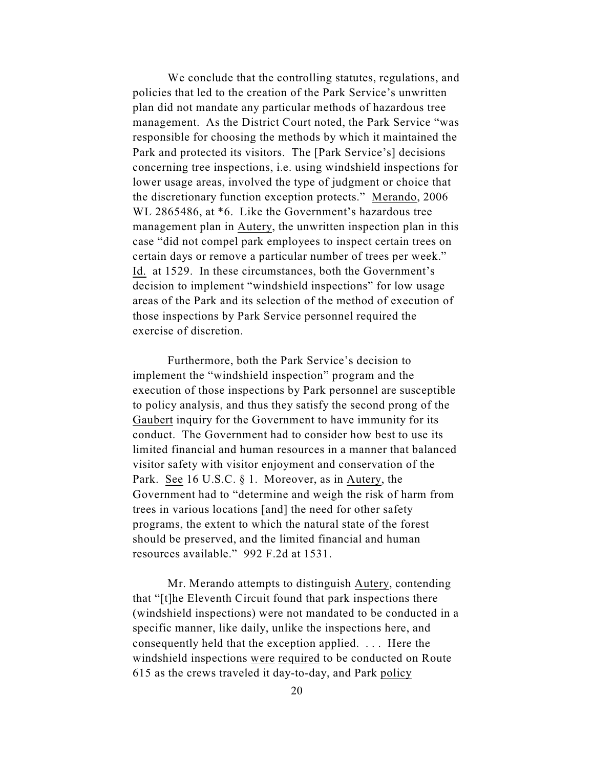We conclude that the controlling statutes, regulations, and policies that led to the creation of the Park Service's unwritten plan did not mandate any particular methods of hazardous tree management. As the District Court noted, the Park Service "was responsible for choosing the methods by which it maintained the Park and protected its visitors. The [Park Service's] decisions concerning tree inspections, i.e. using windshield inspections for lower usage areas, involved the type of judgment or choice that the discretionary function exception protects." Merando, 2006 WL 2865486, at  $*6$ . Like the Government's hazardous tree management plan in Autery, the unwritten inspection plan in this case "did not compel park employees to inspect certain trees on certain days or remove a particular number of trees per week." Id. at 1529. In these circumstances, both the Government's decision to implement "windshield inspections" for low usage areas of the Park and its selection of the method of execution of those inspections by Park Service personnel required the exercise of discretion.

Furthermore, both the Park Service's decision to implement the "windshield inspection" program and the execution of those inspections by Park personnel are susceptible to policy analysis, and thus they satisfy the second prong of the Gaubert inquiry for the Government to have immunity for its conduct. The Government had to consider how best to use its limited financial and human resources in a manner that balanced visitor safety with visitor enjoyment and conservation of the Park. See 16 U.S.C. § 1. Moreover, as in Autery, the Government had to "determine and weigh the risk of harm from trees in various locations [and] the need for other safety programs, the extent to which the natural state of the forest should be preserved, and the limited financial and human resources available." 992 F.2d at 1531.

Mr. Merando attempts to distinguish Autery, contending that "[t]he Eleventh Circuit found that park inspections there (windshield inspections) were not mandated to be conducted in a specific manner, like daily, unlike the inspections here, and consequently held that the exception applied. . . . Here the windshield inspections were required to be conducted on Route 615 as the crews traveled it day-to-day, and Park policy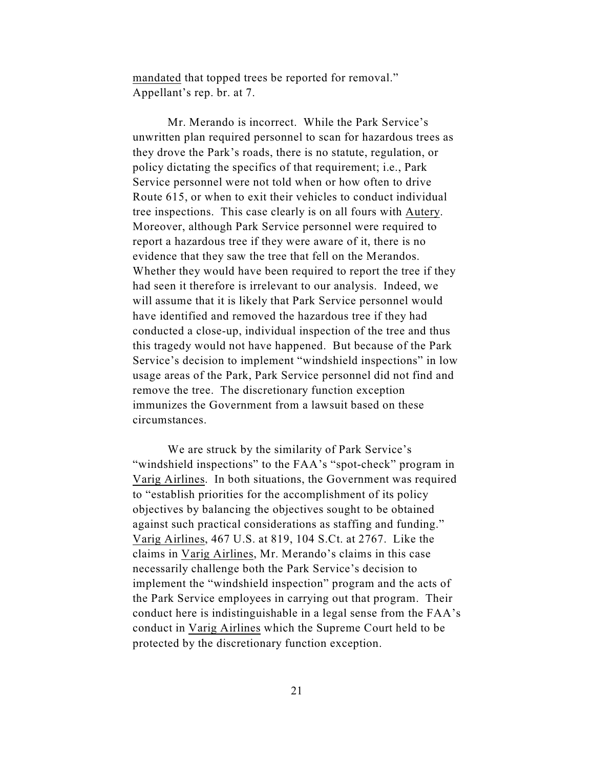mandated that topped trees be reported for removal." Appellant's rep. br. at 7.

Mr. Merando is incorrect. While the Park Service's unwritten plan required personnel to scan for hazardous trees as they drove the Park's roads, there is no statute, regulation, or policy dictating the specifics of that requirement; i.e., Park Service personnel were not told when or how often to drive Route 615, or when to exit their vehicles to conduct individual tree inspections. This case clearly is on all fours with Autery. Moreover, although Park Service personnel were required to report a hazardous tree if they were aware of it, there is no evidence that they saw the tree that fell on the Merandos. Whether they would have been required to report the tree if they had seen it therefore is irrelevant to our analysis. Indeed, we will assume that it is likely that Park Service personnel would have identified and removed the hazardous tree if they had conducted a close-up, individual inspection of the tree and thus this tragedy would not have happened. But because of the Park Service's decision to implement "windshield inspections" in low usage areas of the Park, Park Service personnel did not find and remove the tree. The discretionary function exception immunizes the Government from a lawsuit based on these circumstances.

We are struck by the similarity of Park Service's "windshield inspections" to the FAA's "spot-check" program in Varig Airlines. In both situations, the Government was required to "establish priorities for the accomplishment of its policy objectives by balancing the objectives sought to be obtained against such practical considerations as staffing and funding." Varig Airlines, 467 U.S. at 819, 104 S.Ct. at 2767. Like the claims in Varig Airlines, Mr. Merando's claims in this case necessarily challenge both the Park Service's decision to implement the "windshield inspection" program and the acts of the Park Service employees in carrying out that program. Their conduct here is indistinguishable in a legal sense from the FAA's conduct in Varig Airlines which the Supreme Court held to be protected by the discretionary function exception.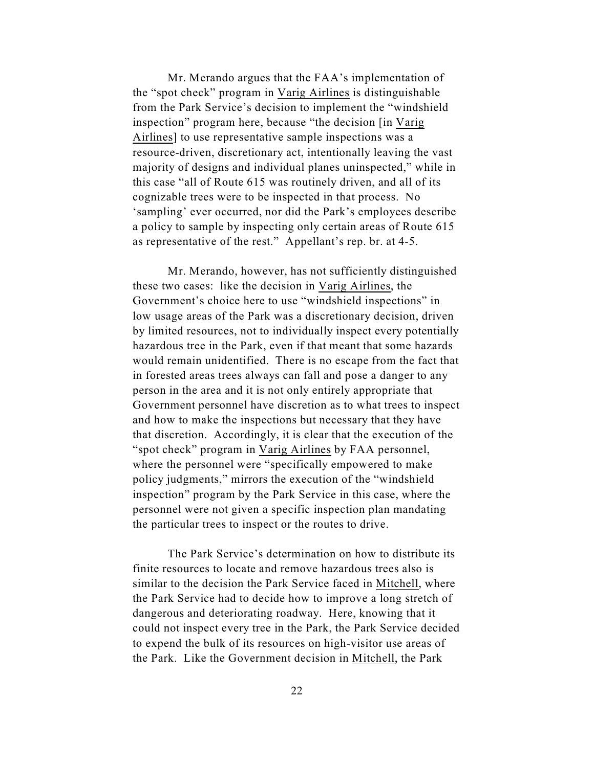Mr. Merando argues that the FAA's implementation of the "spot check" program in Varig Airlines is distinguishable from the Park Service's decision to implement the "windshield inspection" program here, because "the decision [in Varig Airlines] to use representative sample inspections was a resource-driven, discretionary act, intentionally leaving the vast majority of designs and individual planes uninspected," while in this case "all of Route 615 was routinely driven, and all of its cognizable trees were to be inspected in that process. No 'sampling' ever occurred, nor did the Park's employees describe a policy to sample by inspecting only certain areas of Route 615 as representative of the rest." Appellant's rep. br. at 4-5.

Mr. Merando, however, has not sufficiently distinguished these two cases: like the decision in Varig Airlines, the Government's choice here to use "windshield inspections" in low usage areas of the Park was a discretionary decision, driven by limited resources, not to individually inspect every potentially hazardous tree in the Park, even if that meant that some hazards would remain unidentified. There is no escape from the fact that in forested areas trees always can fall and pose a danger to any person in the area and it is not only entirely appropriate that Government personnel have discretion as to what trees to inspect and how to make the inspections but necessary that they have that discretion. Accordingly, it is clear that the execution of the "spot check" program in Varig Airlines by FAA personnel, where the personnel were "specifically empowered to make policy judgments," mirrors the execution of the "windshield inspection" program by the Park Service in this case, where the personnel were not given a specific inspection plan mandating the particular trees to inspect or the routes to drive.

The Park Service's determination on how to distribute its finite resources to locate and remove hazardous trees also is similar to the decision the Park Service faced in Mitchell, where the Park Service had to decide how to improve a long stretch of dangerous and deteriorating roadway. Here, knowing that it could not inspect every tree in the Park, the Park Service decided to expend the bulk of its resources on high-visitor use areas of the Park. Like the Government decision in Mitchell, the Park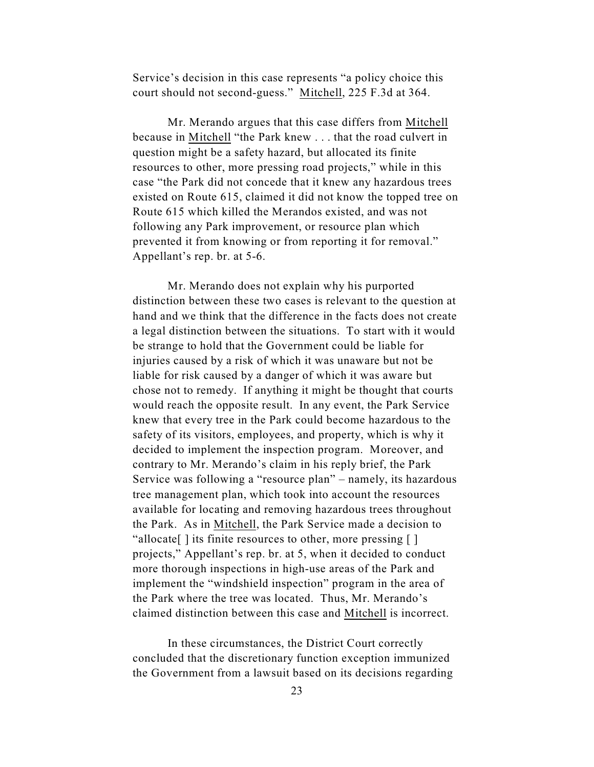Service's decision in this case represents "a policy choice this court should not second-guess." Mitchell, 225 F.3d at 364.

Mr. Merando argues that this case differs from Mitchell because in Mitchell "the Park knew . . . that the road culvert in question might be a safety hazard, but allocated its finite resources to other, more pressing road projects," while in this case "the Park did not concede that it knew any hazardous trees existed on Route 615, claimed it did not know the topped tree on Route 615 which killed the Merandos existed, and was not following any Park improvement, or resource plan which prevented it from knowing or from reporting it for removal." Appellant's rep. br. at 5-6.

Mr. Merando does not explain why his purported distinction between these two cases is relevant to the question at hand and we think that the difference in the facts does not create a legal distinction between the situations. To start with it would be strange to hold that the Government could be liable for injuries caused by a risk of which it was unaware but not be liable for risk caused by a danger of which it was aware but chose not to remedy. If anything it might be thought that courts would reach the opposite result. In any event, the Park Service knew that every tree in the Park could become hazardous to the safety of its visitors, employees, and property, which is why it decided to implement the inspection program. Moreover, and contrary to Mr. Merando's claim in his reply brief, the Park Service was following a "resource plan" – namely, its hazardous tree management plan, which took into account the resources available for locating and removing hazardous trees throughout the Park. As in Mitchell, the Park Service made a decision to "allocate[ ] its finite resources to other, more pressing [ ] projects," Appellant's rep. br. at 5, when it decided to conduct more thorough inspections in high-use areas of the Park and implement the "windshield inspection" program in the area of the Park where the tree was located. Thus, Mr. Merando's claimed distinction between this case and Mitchell is incorrect.

In these circumstances, the District Court correctly concluded that the discretionary function exception immunized the Government from a lawsuit based on its decisions regarding